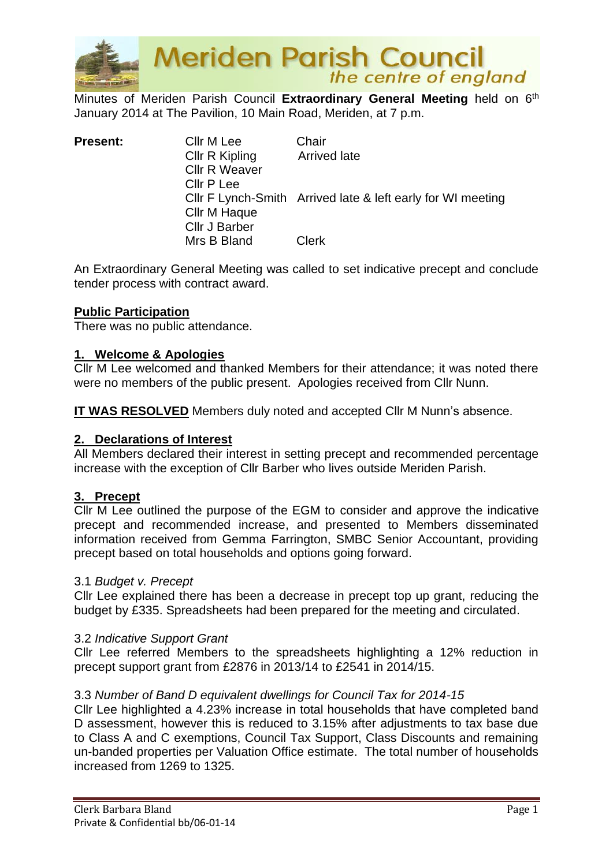

**Meriden Parish Council**<br>the centre of england

Minutes of Meriden Parish Council Extraordinary General Meeting held on 6<sup>th</sup> January 2014 at The Pavilion, 10 Main Road, Meriden, at 7 p.m.

| <b>Present:</b> | Cllr M Lee           | Chair                                                       |
|-----------------|----------------------|-------------------------------------------------------------|
|                 | Cllr R Kipling       | <b>Arrived late</b>                                         |
|                 | <b>Cllr R Weaver</b> |                                                             |
|                 | Cllr P Lee           |                                                             |
|                 |                      | Cllr F Lynch-Smith Arrived late & left early for WI meeting |
|                 | Cllr M Haque         |                                                             |
|                 | Cllr J Barber        |                                                             |
|                 | Mrs B Bland          | <b>Clerk</b>                                                |

An Extraordinary General Meeting was called to set indicative precept and conclude tender process with contract award.

# **Public Participation**

There was no public attendance.

### **1. Welcome & Apologies**

Cllr M Lee welcomed and thanked Members for their attendance; it was noted there were no members of the public present. Apologies received from Cllr Nunn.

**IT WAS RESOLVED** Members duly noted and accepted Cllr M Nunn's absence.

## **2. Declarations of Interest**

All Members declared their interest in setting precept and recommended percentage increase with the exception of Cllr Barber who lives outside Meriden Parish.

# **3. Precept**

Cllr M Lee outlined the purpose of the EGM to consider and approve the indicative precept and recommended increase, and presented to Members disseminated information received from Gemma Farrington, SMBC Senior Accountant, providing precept based on total households and options going forward.

#### 3.1 *Budget v. Precept*

Cllr Lee explained there has been a decrease in precept top up grant, reducing the budget by £335. Spreadsheets had been prepared for the meeting and circulated.

#### 3.2 *Indicative Support Grant*

Cllr Lee referred Members to the spreadsheets highlighting a 12% reduction in precept support grant from £2876 in 2013/14 to £2541 in 2014/15.

#### 3.3 *Number of Band D equivalent dwellings for Council Tax for 2014-15*

Cllr Lee highlighted a 4.23% increase in total households that have completed band D assessment, however this is reduced to 3.15% after adjustments to tax base due to Class A and C exemptions, Council Tax Support, Class Discounts and remaining un-banded properties per Valuation Office estimate. The total number of households increased from 1269 to 1325.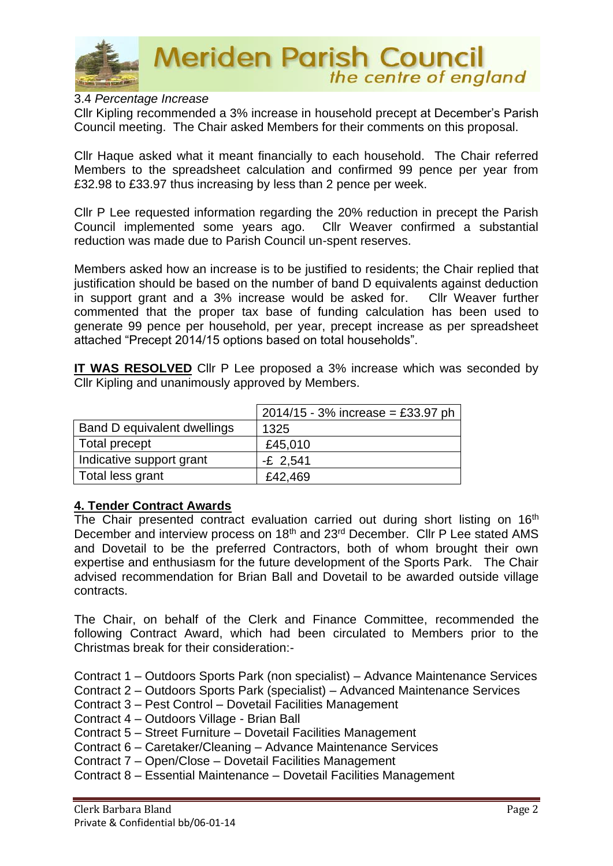

**Meriden Parish Council** the centre of england

# 3.4 *Percentage Increase*

Cllr Kipling recommended a 3% increase in household precept at December's Parish Council meeting. The Chair asked Members for their comments on this proposal.

Cllr Haque asked what it meant financially to each household. The Chair referred Members to the spreadsheet calculation and confirmed 99 pence per year from £32.98 to £33.97 thus increasing by less than 2 pence per week.

Cllr P Lee requested information regarding the 20% reduction in precept the Parish Council implemented some years ago. Cllr Weaver confirmed a substantial reduction was made due to Parish Council un-spent reserves.

Members asked how an increase is to be justified to residents; the Chair replied that justification should be based on the number of band D equivalents against deduction in support grant and a 3% increase would be asked for. Cllr Weaver further commented that the proper tax base of funding calculation has been used to generate 99 pence per household, per year, precept increase as per spreadsheet attached "Precept 2014/15 options based on total households".

**IT WAS RESOLVED** Cllr P Lee proposed a 3% increase which was seconded by Cllr Kipling and unanimously approved by Members.

|                             | $2014/15 - 3\%$ increase = £33.97 ph |
|-----------------------------|--------------------------------------|
| Band D equivalent dwellings | 1325                                 |
| Total precept               | £45,010                              |
| Indicative support grant    | $-E$ 2,541                           |
| Total less grant            | £42,469                              |

# **4. Tender Contract Awards**

The Chair presented contract evaluation carried out during short listing on 16<sup>th</sup> December and interview process on 18<sup>th</sup> and 23<sup>rd</sup> December. Cllr P Lee stated AMS and Dovetail to be the preferred Contractors, both of whom brought their own expertise and enthusiasm for the future development of the Sports Park. The Chair advised recommendation for Brian Ball and Dovetail to be awarded outside village contracts.

The Chair, on behalf of the Clerk and Finance Committee, recommended the following Contract Award, which had been circulated to Members prior to the Christmas break for their consideration:-

Contract 1 – Outdoors Sports Park (non specialist) – Advance Maintenance Services

- Contract 2 Outdoors Sports Park (specialist) Advanced Maintenance Services
- Contract 3 Pest Control Dovetail Facilities Management

Contract 4 – Outdoors Village - Brian Ball

Contract 5 – Street Furniture – Dovetail Facilities Management

Contract 6 – Caretaker/Cleaning – Advance Maintenance Services

Contract 7 – Open/Close – Dovetail Facilities Management

Contract 8 – Essential Maintenance – Dovetail Facilities Management